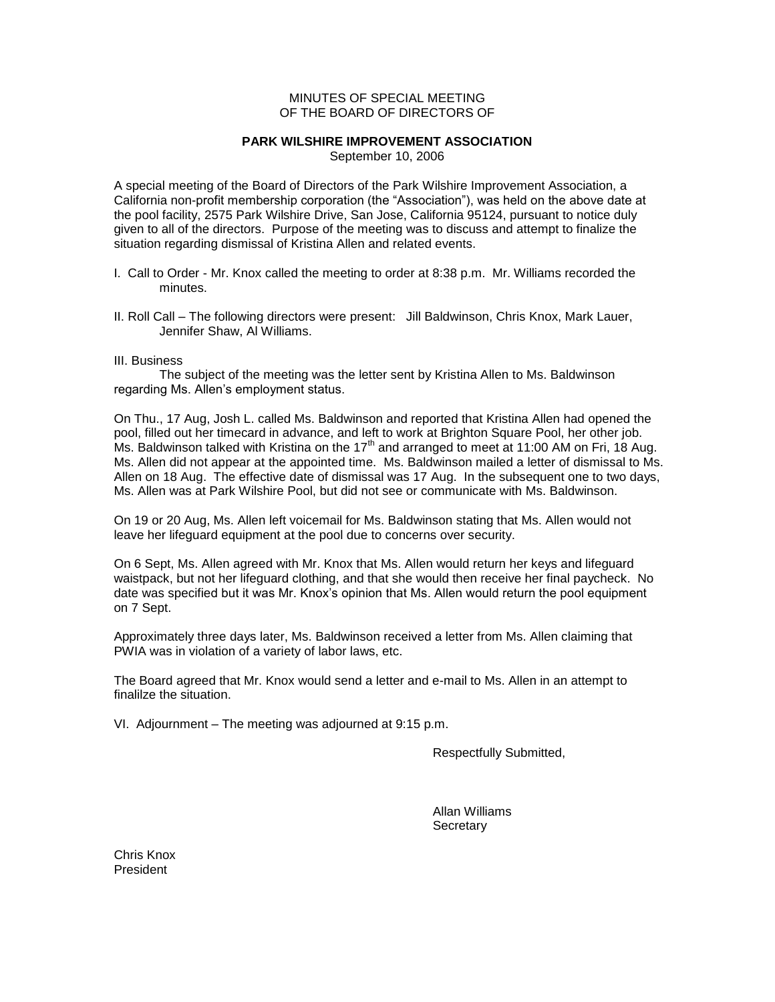## MINUTES OF SPECIAL MEETING OF THE BOARD OF DIRECTORS OF

## **PARK WILSHIRE IMPROVEMENT ASSOCIATION**

September 10, 2006

A special meeting of the Board of Directors of the Park Wilshire Improvement Association, a California non-profit membership corporation (the "Association"), was held on the above date at the pool facility, 2575 Park Wilshire Drive, San Jose, California 95124, pursuant to notice duly given to all of the directors. Purpose of the meeting was to discuss and attempt to finalize the situation regarding dismissal of Kristina Allen and related events.

- I. Call to Order Mr. Knox called the meeting to order at 8:38 p.m. Mr. Williams recorded the minutes.
- II. Roll Call The following directors were present: Jill Baldwinson, Chris Knox, Mark Lauer, Jennifer Shaw, Al Williams.

## III. Business

The subject of the meeting was the letter sent by Kristina Allen to Ms. Baldwinson regarding Ms. Allen's employment status.

On Thu., 17 Aug, Josh L. called Ms. Baldwinson and reported that Kristina Allen had opened the pool, filled out her timecard in advance, and left to work at Brighton Square Pool, her other job. Ms. Baldwinson talked with Kristina on the  $17<sup>th</sup>$  and arranged to meet at 11:00 AM on Fri, 18 Aug. Ms. Allen did not appear at the appointed time. Ms. Baldwinson mailed a letter of dismissal to Ms. Allen on 18 Aug. The effective date of dismissal was 17 Aug. In the subsequent one to two days, Ms. Allen was at Park Wilshire Pool, but did not see or communicate with Ms. Baldwinson.

On 19 or 20 Aug, Ms. Allen left voicemail for Ms. Baldwinson stating that Ms. Allen would not leave her lifeguard equipment at the pool due to concerns over security.

On 6 Sept, Ms. Allen agreed with Mr. Knox that Ms. Allen would return her keys and lifeguard waistpack, but not her lifeguard clothing, and that she would then receive her final paycheck. No date was specified but it was Mr. Knox's opinion that Ms. Allen would return the pool equipment on 7 Sept.

Approximately three days later, Ms. Baldwinson received a letter from Ms. Allen claiming that PWIA was in violation of a variety of labor laws, etc.

The Board agreed that Mr. Knox would send a letter and e-mail to Ms. Allen in an attempt to finalilze the situation.

VI. Adjournment – The meeting was adjourned at 9:15 p.m.

Respectfully Submitted,

Allan Williams **Secretary** 

Chris Knox President